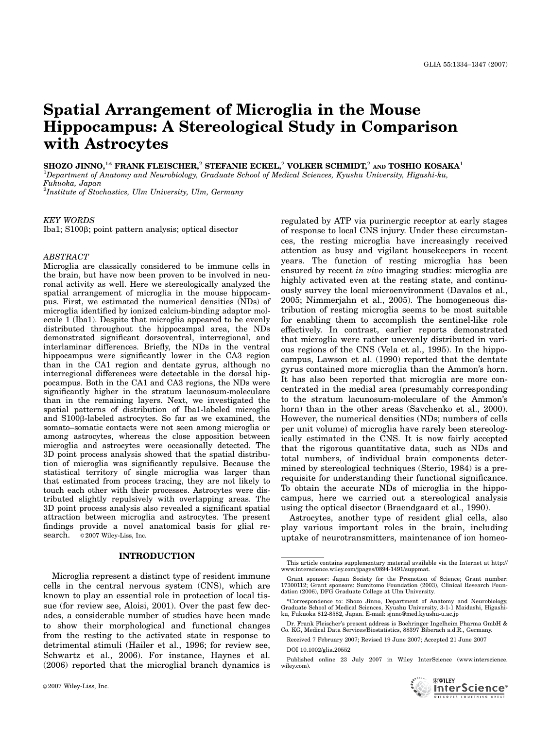# Spatial Arrangement of Microglia in the Mouse Hippocampus: A Stereological Study in Comparison with Astrocytes

SHOZO JINNO,<sup>1\*</sup> FRANK FLEISCHER,<sup>2</sup> STEFANIE ECKEL,<sup>2</sup> VOLKER SCHMIDT,<sup>2</sup> and TOSHIO KOSAKA<sup>1</sup>

1 Department of Anatomy and Neurobiology, Graduate School of Medical Sciences, Kyushu University, Higashi-ku, Fukuoka, Japan

 ${}^{2}$ Institute of Stochastics, Ulm University, Ulm, Germany

#### KEY WORDS

Iba1; S100β; point pattern analysis; optical disector

## ABSTRACT

Microglia are classically considered to be immune cells in the brain, but have now been proven to be involved in neuronal activity as well. Here we stereologically analyzed the spatial arrangement of microglia in the mouse hippocampus. First, we estimated the numerical densities (NDs) of microglia identified by ionized calcium-binding adaptor molecule 1 (Iba1). Despite that microglia appeared to be evenly distributed throughout the hippocampal area, the NDs demonstrated significant dorsoventral, interregional, and interlaminar differences. Briefly, the NDs in the ventral hippocampus were significantly lower in the CA3 region than in the CA1 region and dentate gyrus, although no interregional differences were detectable in the dorsal hippocampus. Both in the CA1 and CA3 regions, the NDs were significantly higher in the stratum lacunosum-moleculare than in the remaining layers. Next, we investigated the spatial patterns of distribution of Iba1-labeled microglia and S100<sub>B</sub>-labeled astrocytes. So far as we examined, the somato–somatic contacts were not seen among microglia or among astrocytes, whereas the close apposition between microglia and astrocytes were occasionally detected. The 3D point process analysis showed that the spatial distribution of microglia was significantly repulsive. Because the statistical territory of single microglia was larger than that estimated from process tracing, they are not likely to touch each other with their processes. Astrocytes were distributed slightly repulsively with overlapping areas. The 3D point process analysis also revealed a significant spatial attraction between microglia and astrocytes. The present findings provide a novel anatomical basis for glial research.  $\circ$  2007 Wiley-Liss, Inc.

#### INTRODUCTION

Microglia represent a distinct type of resident immune cells in the central nervous system (CNS), which are known to play an essential role in protection of local tissue (for review see, Aloisi, 2001). Over the past few decades, a considerable number of studies have been made to show their morphological and functional changes from the resting to the activated state in response to detrimental stimuli (Hailer et al., 1996; for review see, Schwartz et al., 2006). For instance, Haynes et al. (2006) reported that the microglial branch dynamics is

regulated by ATP via purinergic receptor at early stages of response to local CNS injury. Under these circumstances, the resting microglia have increasingly received attention as busy and vigilant housekeepers in recent years. The function of resting microglia has been ensured by recent in vivo imaging studies: microglia are highly activated even at the resting state, and continuously survey the local microenvironment (Davalos et al., 2005; Nimmerjahn et al., 2005). The homogeneous distribution of resting microglia seems to be most suitable for enabling them to accomplish the sentinel-like role effectively. In contrast, earlier reports demonstrated that microglia were rather unevenly distributed in various regions of the CNS (Vela et al., 1995). In the hippocampus, Lawson et al. (1990) reported that the dentate gyrus contained more microglia than the Ammon's horn. It has also been reported that microglia are more concentrated in the medial area (presumably corresponding to the stratum lacunosum-moleculare of the Ammon's horn) than in the other areas (Savchenko et al., 2000). However, the numerical densities (NDs; numbers of cells per unit volume) of microglia have rarely been stereologically estimated in the CNS. It is now fairly accepted that the rigorous quantitative data, such as NDs and total numbers, of individual brain components determined by stereological techniques (Sterio, 1984) is a prerequisite for understanding their functional significance. To obtain the accurate NDs of microglia in the hippocampus, here we carried out a stereological analysis using the optical disector (Braendgaard et al., 1990).

Astrocytes, another type of resident glial cells, also play various important roles in the brain, including uptake of neurotransmitters, maintenance of ion homeo-

Received 7 February 2007; Revised 19 June 2007; Accepted 21 June 2007 DOI 10.1002/glia.20552

Published online 23 July 2007 in Wiley InterScience (www.interscience. wiley.com).



This article contains supplementary material available via the Internet at http:// www.interscience.wiley.com/jpages/0894-1491/suppmat.

Grant sponsor: Japan Society for the Promotion of Science; Grant number: 17300112; Grant sponsors: Sumitomo Foundation (2003), Clinical Research Foundation (2006), DFG Graduate College at Ulm University.

<sup>\*</sup>Correspondence to: Shozo Jinno, Department of Anatomy and Neurobiology, Graduate School of Medical Sciences, Kyushu University, 3-1-1 Maidashi, Higashiku, Fukuoka 812-8582, Japan. E-mail: sjnno@med.kyushu-u.ac.jp

Dr. Frank Fleischer's present address is Boehringer Ingelheim Pharma GmbH & Co. KG, Medical Data Services/Biostatistics, 88397 Biberach a.d.R., Germany.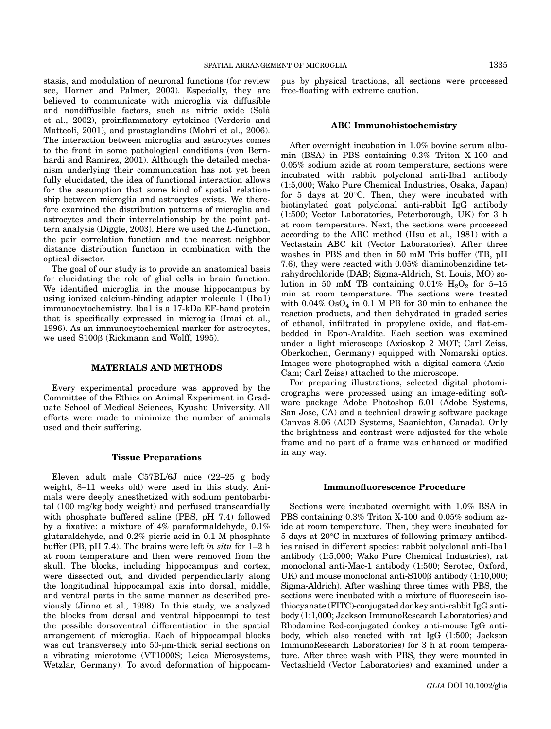stasis, and modulation of neuronal functions (for review see, Horner and Palmer, 2003). Especially, they are believed to communicate with microglia via diffusible and nondiffusible factors, such as nitric oxide (Sola` et al., 2002), proinflammatory cytokines (Verderio and Matteoli, 2001), and prostaglandins (Mohri et al., 2006). The interaction between microglia and astrocytes comes to the front in some pathological conditions (von Bernhardi and Ramirez, 2001). Although the detailed mechanism underlying their communication has not yet been fully elucidated, the idea of functional interaction allows for the assumption that some kind of spatial relationship between microglia and astrocytes exists. We therefore examined the distribution patterns of microglia and astrocytes and their interrelationship by the point pattern analysis (Diggle, 2003). Here we used the L-function, the pair correlation function and the nearest neighbor distance distribution function in combination with the optical disector.

The goal of our study is to provide an anatomical basis for elucidating the role of glial cells in brain function. We identified microglia in the mouse hippocampus by using ionized calcium-binding adapter molecule 1 (Iba1) immunocytochemistry. Iba1 is a 17-kDa EF-hand protein that is specifically expressed in microglia (Imai et al., 1996). As an immunocytochemical marker for astrocytes, we used S100ß (Rickmann and Wolff, 1995).

## MATERIALS AND METHODS

Every experimental procedure was approved by the Committee of the Ethics on Animal Experiment in Graduate School of Medical Sciences, Kyushu University. All efforts were made to minimize the number of animals used and their suffering.

#### Tissue Preparations

Eleven adult male C57BL/6J mice (22–25 g body weight, 8–11 weeks old) were used in this study. Animals were deeply anesthetized with sodium pentobarbital (100 mg/kg body weight) and perfused transcardially with phosphate buffered saline (PBS, pH 7.4) followed by a fixative: a mixture of 4% paraformaldehyde, 0.1% glutaraldehyde, and 0.2% picric acid in 0.1 M phosphate buffer (PB, pH 7.4). The brains were left in situ for 1–2 h at room temperature and then were removed from the skull. The blocks, including hippocampus and cortex, were dissected out, and divided perpendicularly along the longitudinal hippocampal axis into dorsal, middle, and ventral parts in the same manner as described previously (Jinno et al., 1998). In this study, we analyzed the blocks from dorsal and ventral hippocampi to test the possible dorsoventral differentiation in the spatial arrangement of microglia. Each of hippocampal blocks was cut transversely into 50-µm-thick serial sections on a vibrating microtome (VT1000S; Leica Microsystems, Wetzlar, Germany). To avoid deformation of hippocam-

pus by physical tractions, all sections were processed free-floating with extreme caution.

#### ABC Immunohistochemistry

After overnight incubation in 1.0% bovine serum albumin (BSA) in PBS containing 0.3% Triton X-100 and 0.05% sodium azide at room temperature, sections were incubated with rabbit polyclonal anti-Iba1 antibody (1:5,000; Wako Pure Chemical Industries, Osaka, Japan) for 5 days at  $20^{\circ}$ C. Then, they were incubated with biotinylated goat polyclonal anti-rabbit IgG antibody (1:500; Vector Laboratories, Peterborough, UK) for 3 h at room temperature. Next, the sections were processed according to the ABC method (Hsu et al., 1981) with a Vectastain ABC kit (Vector Laboratories). After three washes in PBS and then in 50 mM Tris buffer (TB, pH 7.6), they were reacted with 0.05% diaminobenzidine tetrahydrochloride (DAB; Sigma-Aldrich, St. Louis, MO) solution in 50 mM TB containing  $0.01\%$  H<sub>2</sub>O<sub>2</sub> for 5–15 min at room temperature. The sections were treated with  $0.04\%$  OsO<sub>4</sub> in 0.1 M PB for 30 min to enhance the reaction products, and then dehydrated in graded series of ethanol, infiltrated in propylene oxide, and flat-embedded in Epon-Araldite. Each section was examined under a light microscope (Axioskop 2 MOT; Carl Zeiss, Oberkochen, Germany) equipped with Nomarski optics. Images were photographed with a digital camera (Axio-Cam; Carl Zeiss) attached to the microscope.

For preparing illustrations, selected digital photomicrographs were processed using an image-editing software package Adobe Photoshop 6.01 (Adobe Systems, San Jose, CA) and a technical drawing software package Canvas 8.06 (ACD Systems, Saanichton, Canada). Only the brightness and contrast were adjusted for the whole frame and no part of a frame was enhanced or modified in any way.

#### Immunofluorescence Procedure

Sections were incubated overnight with 1.0% BSA in PBS containing 0.3% Triton X-100 and 0.05% sodium azide at room temperature. Then, they were incubated for  $5$  days at  $20^{\circ}$ C in mixtures of following primary antibodies raised in different species: rabbit polyclonal anti-Iba1 antibody (1:5,000; Wako Pure Chemical Industries), rat monoclonal anti-Mac-1 antibody (1:500; Serotec, Oxford, UK) and mouse monoclonal anti-S100<sub>B</sub> antibody (1:10,000; Sigma-Aldrich). After washing three times with PBS, the sections were incubated with a mixture of fluorescein isothiocyanate (FITC)-conjugated donkey anti-rabbit IgG antibody (1:1,000; Jackson ImmunoResearch Laboratories) and Rhodamine Red-conjugated donkey anti-mouse IgG antibody, which also reacted with rat IgG (1:500; Jackson ImmunoResearch Laboratories) for 3 h at room temperature. After three wash with PBS, they were mounted in Vectashield (Vector Laboratories) and examined under a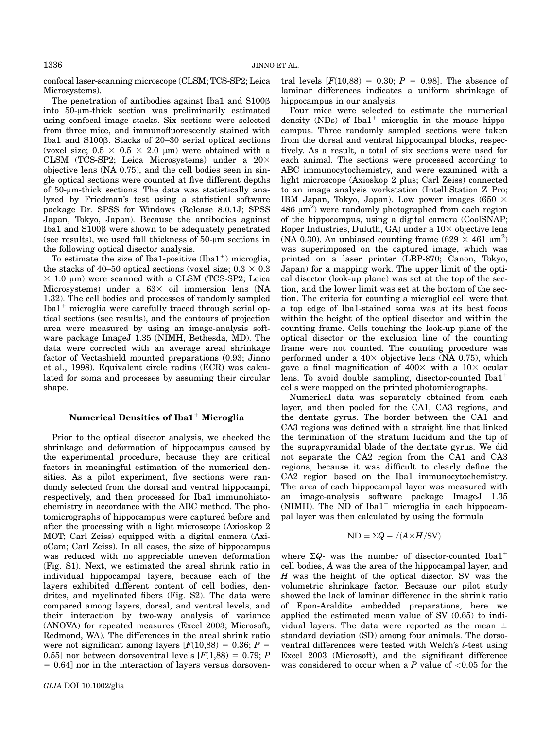confocal laser-scanning microscope (CLSM; TCS-SP2; Leica Microsystems).

The penetration of antibodies against Iba1 and S100<sub>B</sub> into  $50$ - $\mu$ m-thick section was preliminarily estimated using confocal image stacks. Six sections were selected from three mice, and immunofluorescently stained with Iba1 and  $S100\beta$ . Stacks of 20-30 serial optical sections (voxel size;  $0.5 \times 0.5 \times 2.0 \mu m$ ) were obtained with a CLSM (TCS-SP2; Leica Microsystems) under a  $20\times$ objective lens (NA 0.75), and the cell bodies seen in single optical sections were counted at five different depths of 50-µm-thick sections. The data was statistically analyzed by Friedman's test using a statistical software package Dr. SPSS for Windows (Release 8.0.1J; SPSS Japan, Tokyo, Japan). Because the antibodies against Iba1 and S100ß were shown to be adequately penetrated (see results), we used full thickness of  $50$ - $\mu$ m sections in the following optical disector analysis.

To estimate the size of Iba1-positive  $(Iba1^+)$  microglia, the stacks of 40–50 optical sections (voxel size;  $0.3 \times 0.3$ )  $\times$  1.0 µm) were scanned with a CLSM (TCS-SP2; Leica Microsystems) under a  $63\times$  oil immersion lens (NA 1.32). The cell bodies and processes of randomly sampled Iba $1^+$  microglia were carefully traced through serial optical sections (see results), and the contours of projection area were measured by using an image-analysis software package ImageJ 1.35 (NIMH, Bethesda, MD). The data were corrected with an average areal shrinkage factor of Vectashield mounted preparations (0.93; Jinno et al., 1998). Equivalent circle radius (ECR) was calculated for soma and processes by assuming their circular shape.

## Numerical Densities of Iba1<sup>+</sup> Microglia

Prior to the optical disector analysis, we checked the shrinkage and deformation of hippocampus caused by the experimental procedure, because they are critical factors in meaningful estimation of the numerical densities. As a pilot experiment, five sections were randomly selected from the dorsal and ventral hippocampi, respectively, and then processed for Iba1 immunohistochemistry in accordance with the ABC method. The photomicrographs of hippocampus were captured before and after the processing with a light microscope (Axioskop 2 MOT; Carl Zeiss) equipped with a digital camera (AxioCam; Carl Zeiss). In all cases, the size of hippocampus was reduced with no appreciable uneven deformation (Fig. S1). Next, we estimated the areal shrink ratio in individual hippocampal layers, because each of the layers exhibited different content of cell bodies, dendrites, and myelinated fibers (Fig. S2). The data were compared among layers, dorsal, and ventral levels, and their interaction by two-way analysis of variance (ANOVA) for repeated measures (Excel 2003; Microsoft, Redmond, WA). The differences in the areal shrink ratio were not significant among layers  $[F(10,88) = 0.36; P =$ 0.55] nor between dorsoventral levels  $[F(1,88) = 0.79; P$  $= 0.64$ ] nor in the interaction of layers versus dorsoventral levels  $[F(10,88) = 0.30; P = 0.98]$ . The absence of laminar differences indicates a uniform shrinkage of hippocampus in our analysis.

Four mice were selected to estimate the numerical density (NDs) of  $Iba1^+$  microglia in the mouse hippocampus. Three randomly sampled sections were taken from the dorsal and ventral hippocampal blocks, respectively. As a result, a total of six sections were used for each animal. The sections were processed according to ABC immunocytochemistry, and were examined with a light microscope (Axioskop 2 plus; Carl Zeiss) connected to an image analysis workstation (IntelliStation Z Pro; IBM Japan, Tokyo, Japan). Low power images (650  $\times$  $486 \mu m^2$ ) were randomly photographed from each region of the hippocampus, using a digital camera (CoolSNAP; Roper Industries, Duluth, GA) under a  $10\times$  objective lens (NA 0.30). An unbiased counting frame  $(629 \times 461 \mu m^2)$ <br>was superimposed on the cantured image, which was was superimposed on the captured image, which was printed on a laser printer (LBP-870; Canon, Tokyo, Japan) for a mapping work. The upper limit of the optical disector (look-up plane) was set at the top of the section, and the lower limit was set at the bottom of the section. The criteria for counting a microglial cell were that a top edge of Iba1-stained soma was at its best focus within the height of the optical disector and within the counting frame. Cells touching the look-up plane of the optical disector or the exclusion line of the counting frame were not counted. The counting procedure was performed under a  $40\times$  objective lens (NA 0.75), which gave a final magnification of  $400\times$  with a  $10\times$  ocular lens. To avoid double sampling, disector-counted Iba1<sup>+</sup> cells were mapped on the printed photomicrographs.

Numerical data was separately obtained from each layer, and then pooled for the CA1, CA3 regions, and the dentate gyrus. The border between the CA1 and CA3 regions was defined with a straight line that linked the termination of the stratum lucidum and the tip of the suprapyramidal blade of the dentate gyrus. We did not separate the CA2 region from the CA1 and CA3 regions, because it was difficult to clearly define the CA2 region based on the Iba1 immunocytochemistry. The area of each hippocampal layer was measured with an image-analysis software package ImageJ 1.35 (NIMH). The ND of Iba1<sup>+</sup> microglia in each hippocampal layer was then calculated by using the formula

$$
ND = \Sigma Q - / (A \times H / SV)
$$

where  $\Sigma Q$ - was the number of disector-counted Iba1<sup>+</sup> cell bodies, A was the area of the hippocampal layer, and  $H$  was the height of the optical disector. SV was the volumetric shrinkage factor. Because our pilot study showed the lack of laminar difference in the shrink ratio of Epon-Araldite embedded preparations, here we applied the estimated mean value of SV (0.65) to individual layers. The data were reported as the mean  $\pm$ standard deviation (SD) among four animals. The dorsoventral differences were tested with Welch's t-test using Excel 2003 (Microsoft), and the significant difference was considered to occur when a  $P$  value of  $\langle 0.05 \rangle$  for the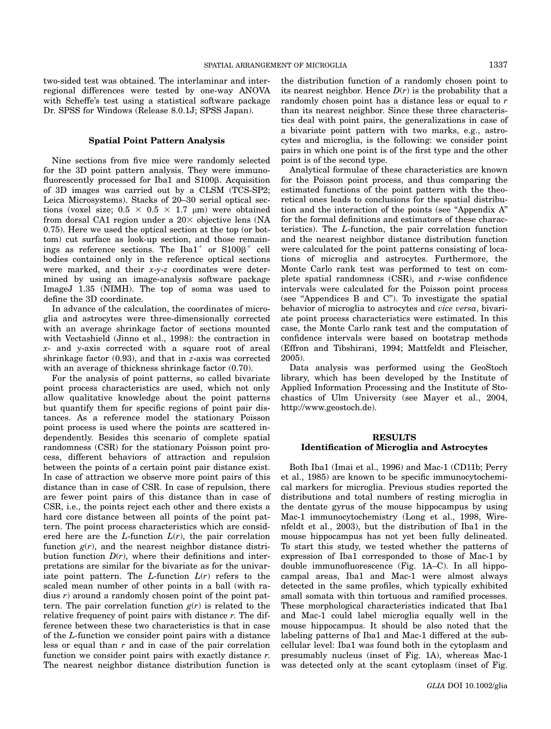two-sided test was obtained. The interlaminar and interregional differences were tested by one-way ANOVA with Scheffe's test using a statistical software package Dr. SPSS for Windows (Release 8.0.1J; SPSS Japan).

## Spatial Point Pattern Analysis

Nine sections from five mice were randomly selected for the 3D point pattern analysis. They were immunofluorescently processed for Iba1 and S100ß. Acquisition of 3D images was carried out by a CLSM (TCS-SP2; Leica Microsystems). Stacks of 20–30 serial optical sections (voxel size;  $0.5 \times 0.5 \times 1.7$  µm) were obtained from dorsal CA1 region under a  $20\times$  objective lens (NA 0.75). Here we used the optical section at the top (or bottom) cut surface as look-up section, and those remainings as reference sections. The Iba1<sup>+</sup> or  $S100\beta^+$  cell bodies contained only in the reference optical sections were marked, and their  $x-y-z$  coordinates were determined by using an image-analysis software package ImageJ 1.35 (NIMH). The top of soma was used to define the 3D coordinate.

In advance of the calculation, the coordinates of microglia and astrocytes were three-dimensionally corrected with an average shrinkage factor of sections mounted with Vectashield (Jinno et al., 1998): the contraction in x- and y-axis corrected with a square root of areal shrinkage factor  $(0.93)$ , and that in z-axis was corrected with an average of thickness shrinkage factor (0.70).

For the analysis of point patterns, so called bivariate point process characteristics are used, which not only allow qualitative knowledge about the point patterns but quantify them for specific regions of point pair distances. As a reference model the stationary Poisson point process is used where the points are scattered independently. Besides this scenario of complete spatial randomness (CSR) for the stationary Poisson point process, different behaviors of attraction and repulsion between the points of a certain point pair distance exist. In case of attraction we observe more point pairs of this distance than in case of CSR. In case of repulsion, there are fewer point pairs of this distance than in case of CSR, i.e., the points reject each other and there exists a hard core distance between all points of the point pattern. The point process characteristics which are considered here are the  $L$ -function  $L(r)$ , the pair correlation function  $g(r)$ , and the nearest neighbor distance distribution function  $D(r)$ , where their definitions and interpretations are similar for the bivariate as for the univariate point pattern. The L-function  $L(r)$  refers to the scaled mean number of other points in a ball (with radius  $r$ ) around a randomly chosen point of the point pattern. The pair correlation function  $g(r)$  is related to the relative frequency of point pairs with distance  $r$ . The difference between these two characteristics is that in case of the L-function we consider point pairs with a distance less or equal than  $r$  and in case of the pair correlation function we consider point pairs with exactly distance r. The nearest neighbor distance distribution function is

the distribution function of a randomly chosen point to its nearest neighbor. Hence  $D(r)$  is the probability that a randomly chosen point has a distance less or equal to r than its nearest neighbor. Since these three characteristics deal with point pairs, the generalizations in case of a bivariate point pattern with two marks, e.g., astrocytes and microglia, is the following: we consider point pairs in which one point is of the first type and the other point is of the second type.

Analytical formulae of these characteristics are known for the Poisson point process, and thus comparing the estimated functions of the point pattern with the theoretical ones leads to conclusions for the spatial distribution and the interaction of the points (see ''Appendix A'' for the formal definitions and estimators of these characteristics). The L-function, the pair correlation function and the nearest neighbor distance distribution function were calculated for the point patterns consisting of locations of microglia and astrocytes. Furthermore, the Monte Carlo rank test was performed to test on complete spatial randomness  $(CSR)$ , and r-wise confidence intervals were calculated for the Poisson point process (see ''Appendices B and C''). To investigate the spatial behavior of microglia to astrocytes and vice versa, bivariate point process characteristics were estimated. In this case, the Monte Carlo rank test and the computation of confidence intervals were based on bootstrap methods (Effron and Tibshirani, 1994; Mattfeldt and Fleischer, 2005).

Data analysis was performed using the GeoStoch library, which has been developed by the Institute of Applied Information Processing and the Institute of Stochastics of Ulm University (see Mayer et al., 2004, http://www.geostoch.de).

## RESULTS Identification of Microglia and Astrocytes

Both Iba1 (Imai et al., 1996) and Mac-1 (CD11b; Perry et al., 1985) are known to be specific immunocytochemical markers for microglia. Previous studies reported the distributions and total numbers of resting microglia in the dentate gyrus of the mouse hippocampus by using Mac-1 immunocytochemistry (Long et al., 1998, Wirenfeldt et al., 2003), but the distribution of Iba1 in the mouse hippocampus has not yet been fully delineated. To start this study, we tested whether the patterns of expression of Iba1 corresponded to those of Mac-1 by double immunofluorescence (Fig. 1A–C). In all hippocampal areas, Iba1 and Mac-1 were almost always detected in the same profiles, which typically exhibited small somata with thin tortuous and ramified processes. These morphological characteristics indicated that Iba1 and Mac-1 could label microglia equally well in the mouse hippocampus. It should be also noted that the labeling patterns of Iba1 and Mac-1 differed at the subcellular level: Iba1 was found both in the cytoplasm and presumably nucleus (inset of Fig. 1A), whereas Mac-1 was detected only at the scant cytoplasm (inset of Fig.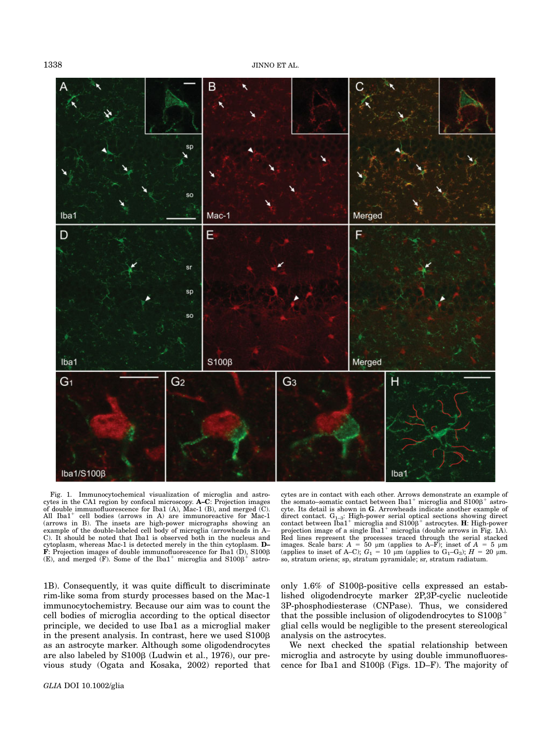1338 JINNO ET AL.



Fig. 1. Immunocytochemical visualization of microglia and astrocytes in the CA1 region by confocal microscopy. A–C: Projection images of double immunofluorescence for Iba1 (A), Mac-1 (B), and merged (C). All  $Iba1<sup>+</sup>$  cell bodies (arrows in A) are immunoreactive for Mac-1 (arrows in B). The insets are high-power micrographs showing an example of the double-labeled cell body of microglia (arrowheads in A– C). It should be noted that Iba1 is observed both in the nucleus and cytoplasm, whereas Mac-1 is detected merely in the thin cytoplasm. **D**–<br>**F**: Projection images of double immunofluorescence for Iba1 (D), S100β<br>(E) and merged (F). Some of the Iba1<sup>+</sup> microglia and S1008<sup>+</sup> astro-(E), and merged  $(F)$ . Some of the Iba1<sup>+</sup> microglia and S100 $\beta$ <sup>+</sup> astro-

1B). Consequently, it was quite difficult to discriminate rim-like soma from sturdy processes based on the Mac-1 immunocytochemistry. Because our aim was to count the cell bodies of microglia according to the optical disector principle, we decided to use Iba1 as a microglial maker in the present analysis. In contrast, here we used  $S100\beta$ as an astrocyte marker. Although some oligodendrocytes are also labeled by S100ß (Ludwin et al., 1976), our previous study (Ogata and Kosaka, 2002) reported that

cytes are in contact with each other. Arrows demonstrate an example of the somato–somatic contact between  $Iba1^+$  microglia and  $S100\beta^+$  astro-cyte. Its detail is shown in  $G$ . Arrowheads indicate another example of direct contact.  $G_{1-3}$ : High-power serial optical sections showing direct contact between  $I_{\rm bal}$ <sup>+</sup> microglia and S100β<sup>+</sup> astrocytes. **H**: High-power contact between Iba1<sup>+</sup> microglia and S100 $\beta$ <sup>+</sup> astrocytes. **H**: High-power projection image of a single Iba1<sup>+</sup> microglia (double arrows in Fig. 1A). Red lines represent the processes traced through the serial stacked images. Scale bars:  $A = 50 \mu m$  (applies to A–F); inset of  $A = 5 \mu m$ <br>(applies to inset of A–C);  $G_1 = 10 \mu m$  (applies to  $G_1$ –G<sub>3</sub>);  $H = 20 \mu m$ .<br>so stratum oriens: so stratum pyramidale; sr stratum radiatum so, stratum oriens; sp, stratum pyramidale; sr, stratum radiatum.

only 1.6% of S100ß-positive cells expressed an established oligodendrocyte marker 2P,3P-cyclic nucleotide 3P-phosphodiesterase (CNPase). Thus, we considered that the possible inclusion of oligodendrocytes to  $S100B$ <sup>+</sup> glial cells would be negligible to the present stereological analysis on the astrocytes.

We next checked the spatial relationship between microglia and astrocyte by using double immunofluorescence for Iba1 and  $S100\beta$  (Figs. 1D–F). The majority of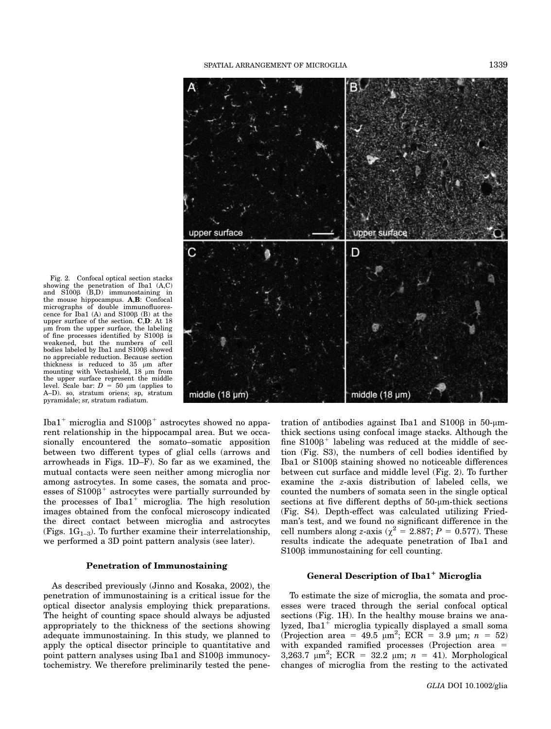

Fig. 2. Confocal optical section stacks showing the penetration of Iba1 (A,C) and  $S100\beta$  (B,D) immunostaining in the mouse hippocampus. A,B: Confocal micrographs of double immunofluorescence for Iba1 (A) and  $S100\beta$  (B) at the upper surface of the section. C,D: At 18 lm from the upper surface, the labeling of fine processes identified by  $S100\beta$  is weakened, but the numbers of cell<br>bodies labeled by Iba1 and S100β showed bodies labeled by Iba1 and S100β showed<br>no appreciable reduction. Because section thickness is reduced to  $35 \mu m$  after mounting with Vectashield,  $18 \mu m$  from the upper surface represent the middle level. Scale bar:  $D = 50 \mu m$  (applies to A–D). so, stratum oriens; sp, stratum pyramidale; sr, stratum radiatum.

Iba1<sup>+</sup> microglia and  $S100B$ <sup>+</sup> astrocytes showed no apparent relationship in the hippocampal area. But we occasionally encountered the somato–somatic apposition between two different types of glial cells (arrows and arrowheads in Figs. 1D–F). So far as we examined, the mutual contacts were seen neither among microglia nor among astrocytes. In some cases, the somata and processes of  $S100\beta^+$  astrocytes were partially surrounded by the processes of  $Iba1<sup>+</sup>$  microglia. The high resolution images obtained from the confocal microscopy indicated the direct contact between microglia and astrocytes (Figs.  $1G_{1-3}$ ). To further examine their interrelationship, we performed a 3D point pattern analysis (see later).

## Penetration of Immunostaining

As described previously (Jinno and Kosaka, 2002), the penetration of immunostaining is a critical issue for the optical disector analysis employing thick preparations. The height of counting space should always be adjusted appropriately to the thickness of the sections showing adequate immunostaining. In this study, we planned to apply the optical disector principle to quantitative and point pattern analyses using Iba1 and  $S100\beta$  immunocytochemistry. We therefore preliminarily tested the penetration of antibodies against Iba1 and  $S100\beta$  in 50- $\mu$ mthick sections using confocal image stacks. Although the fine  $S100B<sup>+</sup>$  labeling was reduced at the middle of section (Fig. S3), the numbers of cell bodies identified by Iba1 or S100<sub>B</sub> staining showed no noticeable differences between cut surface and middle level (Fig. 2). To further examine the z-axis distribution of labeled cells, we counted the numbers of somata seen in the single optical sections at five different depths of  $50$ - $\mu$ m-thick sections (Fig. S4). Depth-effect was calculated utilizing Friedman's test, and we found no significant difference in the cell numbers along z-axis ( $\chi^2 = 2.887$ ;  $P = 0.577$ ). These results indicate the adequate penetration of Iba1 and S100<sub>β</sub> immunostaining for cell counting.

## General Description of Iba1<sup>+</sup> Microglia

To estimate the size of microglia, the somata and processes were traced through the serial confocal optical sections (Fig. 1H). In the healthy mouse brains we analyzed, Iba $1^+$  microglia typically displayed a small soma (Projection area = 49.5  $\mu$ m<sup>2</sup>; ECR = 3.9  $\mu$ m; n = 52)<br>with expanded ramified processes (Projection area = with expanded ramified processes (Projection area  $=$ 3,263.7  $\mu$ m<sup>2</sup>; ECR = 32.2  $\mu$ m; n = 41). Morphological<br>changes of microglia from the resting to the activated changes of microglia from the resting to the activated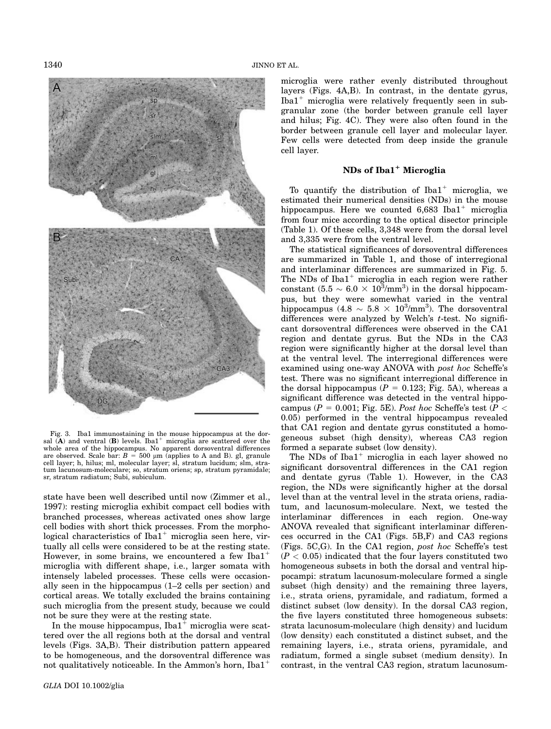

Fig. 3. Iba1 immunostaining in the mouse hippocampus at the dorsal  $(A)$  and ventral  $(B)$  levels. Iba1<sup>+</sup> microglia are scattered over the whole area of the hippocampus. No apparent dorsoventral differences<br>are observed. Scale bar:  $B = 500 \mu m$  (applies to A and B). gl, granule<br>cell laver: h hilus: ml molecular laver: sl stratum lucidum: slm stracell layer; h, hilus; ml, molecular layer; sl, stratum lucidum; slm, stratum lacunosum-moleculare; so, stratum oriens; sp, stratum pyramidale; sr, stratum radiatum; Subi, subiculum.

state have been well described until now (Zimmer et al., 1997): resting microglia exhibit compact cell bodies with branched processes, whereas activated ones show large cell bodies with short thick processes. From the morphological characteristics of  $Iba1<sup>+</sup>$  microglia seen here, virtually all cells were considered to be at the resting state. However, in some brains, we encountered a few Iba $1^+$ microglia with different shape, i.e., larger somata with intensely labeled processes. These cells were occasionally seen in the hippocampus (1–2 cells per section) and cortical areas. We totally excluded the brains containing such microglia from the present study, because we could not be sure they were at the resting state.

In the mouse hippocampus,  $Iba1<sup>+</sup>$  microglia were scattered over the all regions both at the dorsal and ventral levels (Figs. 3A,B). Their distribution pattern appeared to be homogeneous, and the dorsoventral difference was not qualitatively noticeable. In the Ammon's horn,  $Iba1^+$ 

microglia were rather evenly distributed throughout layers (Figs. 4A,B). In contrast, in the dentate gyrus, Iba $1^+$  microglia were relatively frequently seen in subgranular zone (the border between granule cell layer and hilus; Fig. 4C). They were also often found in the border between granule cell layer and molecular layer. Few cells were detected from deep inside the granule cell layer.

# NDs of Iba1<sup>+</sup> Microglia

To quantify the distribution of  $Iba1^+$  microglia, we estimated their numerical densities (NDs) in the mouse hippocampus. Here we counted  $6,683$  Iba1<sup>+</sup> microglia from four mice according to the optical disector principle (Table 1). Of these cells, 3,348 were from the dorsal level and 3,335 were from the ventral level.

The statistical significances of dorsoventral differences are summarized in Table 1, and those of interregional and interlaminar differences are summarized in Fig. 5. The NDs of  $Iba1^+$  microglia in each region were rather constant  $(5.5 \sim 6.0 \times 10^3/\text{mm}^3)$  in the dorsal hippocam-<br>pus but they were somewhat varied in the ventral pus, but they were somewhat varied in the ventral hippocampus  $(4.8 \sim 5.8 \times 10^3/\text{mm}^3)$ . The dorsoventral<br>differences were analyzed by Welch's t-test. No signifidifferences were analyzed by Welch's *t*-test. No significant dorsoventral differences were observed in the CA1 region and dentate gyrus. But the NDs in the CA3 region were significantly higher at the dorsal level than at the ventral level. The interregional differences were examined using one-way ANOVA with post hoc Scheffe's test. There was no significant interregional difference in the dorsal hippocampus ( $P = 0.123$ ; Fig. 5A), whereas a significant difference was detected in the ventral hippocampus ( $P = 0.001$ ; Fig. 5E). Post hoc Scheffe's test ( $P <$ 0.05) performed in the ventral hippocampus revealed that CA1 region and dentate gyrus constituted a homogeneous subset (high density), whereas CA3 region formed a separate subset (low density).

The NDs of Iba $1^+$  microglia in each layer showed no significant dorsoventral differences in the CA1 region and dentate gyrus (Table 1). However, in the CA3 region, the NDs were significantly higher at the dorsal level than at the ventral level in the strata oriens, radiatum, and lacunosum-moleculare. Next, we tested the interlaminar differences in each region. One-way ANOVA revealed that significant interlaminar differences occurred in the CA1 (Figs. 5B,F) and CA3 regions (Figs. 5C,G). In the CA1 region, post hoc Scheffe's test  $(P < 0.05)$  indicated that the four layers constituted two homogeneous subsets in both the dorsal and ventral hippocampi: stratum lacunosum-moleculare formed a single subset (high density) and the remaining three layers, i.e., strata oriens, pyramidale, and radiatum, formed a distinct subset (low density). In the dorsal CA3 region, the five layers constituted three homogeneous subsets: strata lacunosum-moleculare (high density) and lucidum (low density) each constituted a distinct subset, and the remaining layers, i.e., strata oriens, pyramidale, and radiatum, formed a single subset (medium density). In contrast, in the ventral CA3 region, stratum lacunosum-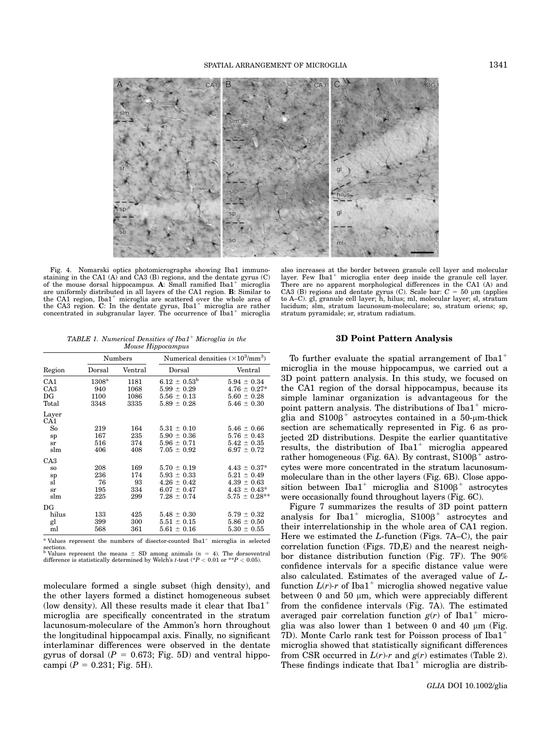

Fig. 4. Nomarski optics photomicrographs showing Iba1 immunostaining in the CA1 (A) and CA3 (B) regions, and the dentate gyrus (C) of the mouse dorsal hippocampus. A: Small ramified Iba1<sup>+</sup> microglia are uniformly distributed in all layers of the CA1 region. B: Similar to the CA1 region,  $Iba1<sup>+</sup>$  microglia are scattered over the whole area of the CA3 region. C: In the dentate gyrus,  $Iba1<sup>+</sup>$  microglia are rather concentrated in subgranular layer. The occurrence of  $I\bar{b}a1^+$  microglia

TABLE 1. Numerical Densities of Iba1<sup>+</sup> Microglia in the Mouse Hippocampus

|                 | Numbers        |         | Numerical densities $(\times 10^3/\text{mm}^3)$ |                   |
|-----------------|----------------|---------|-------------------------------------------------|-------------------|
| Region          | Dorsal         | Ventral | Dorsal                                          | Ventral           |
| CA <sub>1</sub> | $1308^{\rm a}$ | 1181    | $6.12 \pm 0.53^{\rm b}$                         | $5.94 \pm 0.34$   |
| CA <sub>3</sub> | 940            | 1068    | $5.99 \pm 0.29$                                 | $4.76 \pm 0.27^*$ |
| $_{\rm DG}$     | 1100           | 1086    | $5.56 \pm 0.13$                                 | $5.60 \pm 0.28$   |
| Total           | 3348           | 3335    | $5.89 \pm 0.28$                                 | $5.46 \pm 0.30$   |
| Layer           |                |         |                                                 |                   |
| CA1             |                |         |                                                 |                   |
| So              | 219            | 164     | $5.31 \pm 0.10$                                 | $5.46 \pm 0.66$   |
| sp              | 167            | 235     | $5.90 \pm 0.36$                                 | $5.76 \pm 0.43$   |
| sr              | 516            | 374     | $5.96 \pm 0.71$                                 | $5.42 \pm 0.35$   |
| slm             | 406            | 408     | $7.05 \pm 0.92$                                 | $6.97 \pm 0.72$   |
| CA <sub>3</sub> |                |         |                                                 |                   |
| S <sub>O</sub>  | 208            | 169     | $5.70 \pm 0.19$                                 | $4.43 \pm 0.37^*$ |
| sp              | 236            | 174     | $5.93 \pm 0.33$                                 | $5.21 \pm 0.49$   |
| sl              | 76             | 93      | $4.26 \pm 0.42$                                 | $4.39 \pm 0.63$   |
| sr              | 195            | 334     | $6.07 \pm 0.47$                                 | $4.43 \pm 0.43^*$ |
| slm             | 225            | 299     | $7.28 \pm 0.74$                                 | $5.75 \pm 0.28**$ |
| $_{\rm DG}$     |                |         |                                                 |                   |
| hilus           | 133            | 425     | $5.48 \pm 0.30$                                 | $5.79 \pm 0.32$   |
| gl              | 399            | 300     | $5.51 \pm 0.15$                                 | $5.86 \pm 0.50$   |
| ml              | 568            | 361     | $5.61 \pm 0.16$                                 | $5.30 \pm 0.55$   |
|                 |                |         |                                                 |                   |

 $a$  Values represent the numbers of disector-counted Iba1<sup>+</sup> microglia in selected

sections.<br><sup>b</sup> Values represent the means  $\pm$  SD among animals ( $n = 4$ ). The dorsoventral<br>difference is statistically determined by Welch's *t*-test (\*P < 0.01 or \*\*P < 0.05). difference is statistically determined by Welch's t-test (\* $P < 0.01$  or \*\* $P < 0.05$ ).

moleculare formed a single subset (high density), and the other layers formed a distinct homogeneous subset (low density). All these results made it clear that  $Iba1^+$ microglia are specifically concentrated in the stratum lacunosum-moleculare of the Ammon's horn throughout the longitudinal hippocampal axis. Finally, no significant interlaminar differences were observed in the dentate gyrus of dorsal ( $P = 0.673$ ; Fig. 5D) and ventral hippocampi ( $P = 0.231$ ; Fig. 5H).

also increases at the border between granule cell layer and molecular layer. Few Iba1<sup>+</sup> microglia enter deep inside the granule cell layer.<br>There are no apparent morphological differences in the CA1 (A) and CA3 (B) regions and dentate gyrus (C). Scale bar:  $C = 50 \mu m$  (applies to A–C). gl, granule cell layer; h, hilus; ml, molecular layer; sl, stratum lucidum; slm, stratum lacunosum-moleculare; so, stratum oriens; sp, stratum pyramidale; sr, stratum radiatum.

## 3D Point Pattern Analysis

To further evaluate the spatial arrangement of  $Iba1$ <sup>+</sup> microglia in the mouse hippocampus, we carried out a 3D point pattern analysis. In this study, we focused on the CA1 region of the dorsal hippocampus, because its simple laminar organization is advantageous for the point pattern analysis. The distributions of  $Iba1<sup>+</sup>$  microglia and  $S100B^+$  astrocytes contained in a 50-µm-thick section are schematically represented in Fig. 6 as projected 2D distributions. Despite the earlier quantitative results, the distribution of  $Iba1<sup>+</sup>$  microglia appeared rather homogeneous (Fig. 6A). By contrast,  $S100\beta^+$  astrocytes were more concentrated in the stratum lacunosummoleculare than in the other layers (Fig. 6B). Close apposition between  $Iba1^+$  microglia and  $S100\beta^+$  astrocytes were occasionally found throughout layers (Fig. 6C).

Figure 7 summarizes the results of 3D point pattern analysis for  $Iba1^+$  microglia,  $S100\beta^+$  astrocytes and their interrelationship in the whole area of CA1 region. Here we estimated the  $L$ -function (Figs. 7A–C), the pair correlation function (Figs. 7D,E) and the nearest neighbor distance distribution function (Fig. 7F). The 90% confidence intervals for a specific distance value were also calculated. Estimates of the averaged value of Lfunction  $L(r)$ -r of Iba1<sup>+</sup> microglia showed negative value between  $0$  and  $50 \mu m$ , which were appreciably different from the confidence intervals (Fig. 7A). The estimated averaged pair correlation function  $g(r)$  of Iba1<sup>+</sup> microglia was also lower than 1 between 0 and 40  $\mu$ m (Fig. 7D). Monte Carlo rank test for Poisson process of  $Iba1$ <sup>+</sup> microglia showed that statistically significant differences from CSR occurred in  $L(r)$ -r and  $g(r)$  estimates (Table 2). These findings indicate that  $Iba1^+$  microglia are distrib-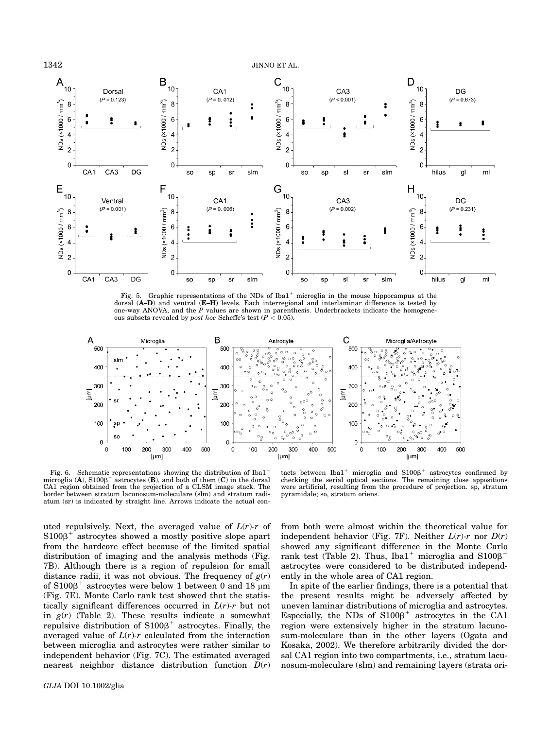

1342 JINNO ET AL.



Fig. 5. Graphic representations of the NDs of Iba1<sup>+</sup> microglia in the mouse hippocampus at the dorsal (A–D) and ventral (E–H) levels. Each interregional and interlaminar difference is tested by one-way ANOVA, and the  $P$  values are shown in parenthesis. Underbrackets indicate the homogeneous subsets revealed by *post hoc* Scheffe's test ( $P < 0.05$ ).



Fig. 6. Schematic representations showing the distribution of Iba11 microglia (A),  $S100\beta^+$  astrocytes (B), and both of them (C) in the dorsal CA1 region obtained from the projection of a CLSM image stack. The border between stratum lacunosum-moleculare (slm) and stratum radiatum (sr) is indicated by straight line. Arrows indicate the actual con-

tacts between  $Iba1^+$  microglia and  $S100\beta^+$  astrocytes confirmed by checking the serial optical sections. The remaining close appositions were artificial, resulting from the procedure of projection. sp, stratum pyramidale; so, stratum oriens.

uted repulsively. Next, the averaged value of  $L(r)$ -r of  $S100\beta^+$  astrocytes showed a mostly positive slope apart from the hardcore effect because of the limited spatial distribution of imaging and the analysis methods (Fig. 7B). Although there is a region of repulsion for small distance radii, it was not obvious. The frequency of  $g(r)$ of  $S100B<sup>+</sup>$  astrocytes were below 1 between 0 and 18  $\mu$ m (Fig. 7E). Monte Carlo rank test showed that the statistically significant differences occurred in  $L(r)$ -r but not in  $g(r)$  (Table 2). These results indicate a somewhat repulsive distribution of  $S100\beta^+$  astrocytes. Finally, the averaged value of  $L(r)$ -r calculated from the interaction between microglia and astrocytes were rather similar to independent behavior (Fig. 7C). The estimated averaged nearest neighbor distance distribution function  $D(r)$ 

from both were almost within the theoretical value for independent behavior (Fig. 7F). Neither  $L(r)$ -r nor  $D(r)$ showed any significant difference in the Monte Carlo rank test (Table 2). Thus, Iba1<sup>+</sup> microglia and  $S100B$ <sup>+</sup> astrocytes were considered to be distributed independently in the whole area of CA1 region.

In spite of the earlier findings, there is a potential that the present results might be adversely affected by uneven laminar distributions of microglia and astrocytes. Especially, the NDs of  $S100\beta^+$  astrocytes in the CA1 region were extensively higher in the stratum lacunosum-moleculare than in the other layers (Ogata and Kosaka, 2002). We therefore arbitrarily divided the dorsal CA1 region into two compartments, i.e., stratum lacunosum-moleculare (slm) and remaining layers (strata ori-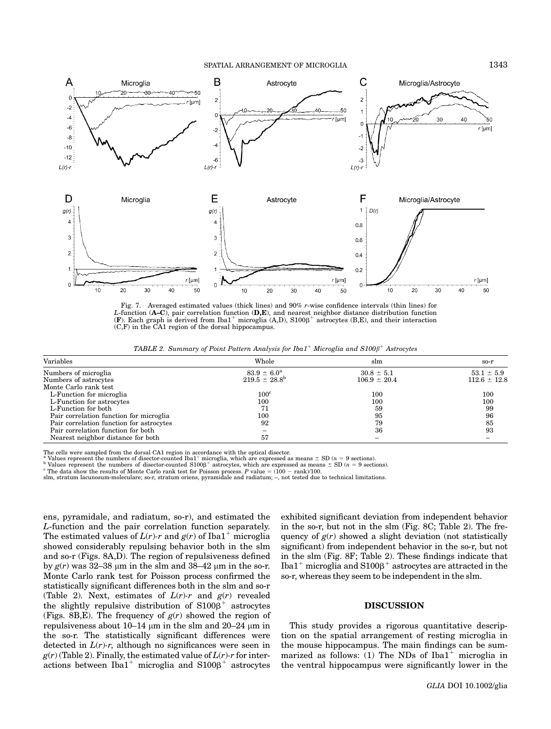## SPATIAL ARRANGEMENT OF MICROGLIA 1343



Fig. 7. Averaged estimated values (thick lines) and 90% r-wise confidence intervals (thin lines) for *L*-function (**A–C**), pair correlation function (**D,E**), and nearest neighbor distance distribution function (**F**). Each graph is derived from Iba1<sup>+</sup> microglia (A,D), S100β<sup>+</sup> astrocytes (B,E), and their interaction (C F (C,F) in the CA1 region of the dorsal hippocampus.

TABLE 2. Summary of Point Pattern Analysis for Iba1<sup>+</sup> Microglia and  $S100\beta^+$  Astrocytes

| Variables                                | Whole                    | slm              | $so-r$           |
|------------------------------------------|--------------------------|------------------|------------------|
| Numbers of microglia                     | $83.9 \pm 6.0^{\rm a}$   | $30.8 \pm 5.1$   | $53.1 \pm 5.9$   |
| Numbers of astrocytes                    | $219.5 \pm 28.8^{\circ}$ | $106.9 \pm 20.4$ | $112.6 \pm 12.8$ |
| Monte Carlo rank test                    |                          |                  |                  |
| L-Function for microglia                 | $100^{\circ}$            | 100              | 100              |
| L-Function for astrocytes                | 100                      | 100              | 100              |
| L-Function for both                      | 71                       | 59               | 99               |
| Pair correlation function for microglia  | 100                      | 95               | 96               |
| Pair correlation function for astrocytes | 92                       | 79               | 85               |
| Pair correlation function for both       |                          | 36               | 93               |
| Nearest neighbor distance for both       | 57                       |                  |                  |

The cells were sampled from the dorsal CA1 region in accordance with the optical disector.<br><sup>a</sup> Values represent the numbers of disector-counted Iba1<sup>+</sup> microglia, which are expressed as means  $\pm$  SD (*n* = 9 sections).

values represent the numbers of disector-counted S1000<sup>+</sup> astrocytes, which are expressed as means  $\pm$  SD ( $n = 9$  sections).<br><sup>1</sup> Values represent the numbers of disector-counted S1000<sup>+</sup> astrocytes, which are expressed a

slm, stratum lacunosum-moleculare; so-r, stratum oriens, pyramidale and radiatum; –, not tested due to technical limitations.

ens, pyramidale, and radiatum, so-r), and estimated the L-function and the pair correlation function separately. The estimated values of  $L(r)$ -r and  $g(r)$  of Iba1<sup>+</sup> microglia showed considerably repulsing behavior both in the slm and so-r (Figs. 8A,D). The region of repulsiveness defined by  $g(r)$  was 32–38 µm in the slm and 38–42 µm in the so-r. Monte Carlo rank test for Poisson process confirmed the statistically significant differences both in the slm and so-r (Table 2). Next, estimates of  $L(r)\text{-}r$  and  $g(r)$  revealed the slightly repulsive distribution of  $S100\beta^+$  astrocytes (Figs. 8B,E). The frequency of  $g(r)$  showed the region of repulsiveness about  $10-14 \mu m$  in the slm and  $20-24 \mu m$  in the so-r. The statistically significant differences were detected in  $L(r)$ -r, although no significances were seen in  $g(r)$  (Table 2). Finally, the estimated value of  $L(r)$ -r for interactions between Iba1<sup>+</sup> microglia and  $S100\beta^+$  astrocytes

exhibited significant deviation from independent behavior in the so-r, but not in the slm (Fig. 8C; Table 2). The frequency of  $g(r)$  showed a slight deviation (not statistically significant) from independent behavior in the so-r, but not in the slm (Fig. 8F; Table 2). These findings indicate that Iba1<sup>+</sup> microglia and  $S100\beta$ <sup>+</sup> astrocytes are attracted in the so-r, whereas they seem to be independent in the slm.

## DISCUSSION

This study provides a rigorous quantitative description on the spatial arrangement of resting microglia in the mouse hippocampus. The main findings can be summarized as follows:  $(1)$  The NDs of Iba1<sup>+</sup> microglia in the ventral hippocampus were significantly lower in the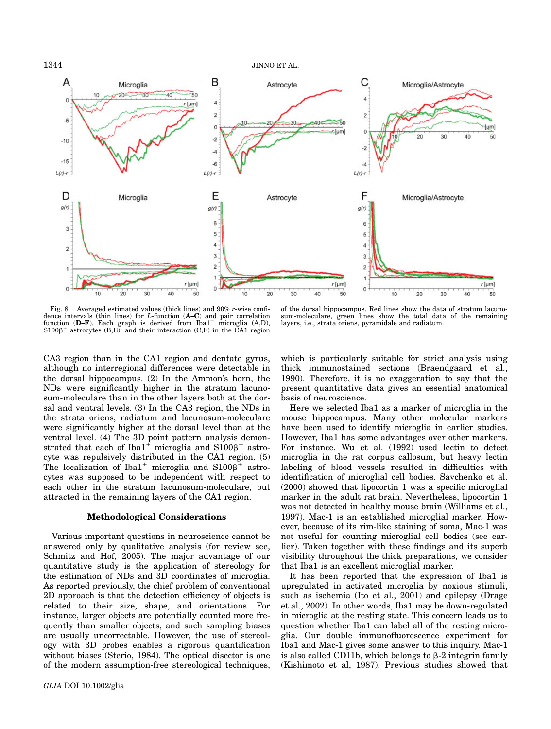

1344 JINNO ET AL.



Fig. 8. Averaged estimated values (thick lines) and 90% r-wise confidence intervals (thin lines) for  $L$ -function  $(A-C)$  and pair correlation function  $(D-F)$ . Each graph is derived from  $Iba1^+$  microglia  $(A,D)$ ,  $S100\beta^+$  astrocytes  $(B,E)$ , and their interaction  $(C,F)$  in the CA1 region

of the dorsal hippocampus. Red lines show the data of stratum lacunosum-moleculare, green lines show the total data of the remaining layers, i.e., strata oriens, pyramidale and radiatum.

CA3 region than in the CA1 region and dentate gyrus, although no interregional differences were detectable in the dorsal hippocampus. (2) In the Ammon's horn, the NDs were significantly higher in the stratum lacunosum-moleculare than in the other layers both at the dorsal and ventral levels. (3) In the CA3 region, the NDs in the strata oriens, radiatum and lacunosum-moleculare were significantly higher at the dorsal level than at the ventral level. (4) The 3D point pattern analysis demonstrated that each of Iba1<sup>+</sup> microglia and S100 $\beta$ <sup>+</sup> astrocyte was repulsively distributed in the CA1 region. (5) The localization of Iba1<sup>+</sup> microglia and  $S100\beta^+$  astrocytes was supposed to be independent with respect to each other in the stratum lacunosum-moleculare, but attracted in the remaining layers of the CA1 region.

#### Methodological Considerations

Various important questions in neuroscience cannot be answered only by qualitative analysis (for review see, Schmitz and Hof, 2005). The major advantage of our quantitative study is the application of stereology for the estimation of NDs and 3D coordinates of microglia. As reported previously, the chief problem of conventional 2D approach is that the detection efficiency of objects is related to their size, shape, and orientations. For instance, larger objects are potentially counted more frequently than smaller objects, and such sampling biases are usually uncorrectable. However, the use of stereology with 3D probes enables a rigorous quantification without biases (Sterio, 1984). The optical disector is one of the modern assumption-free stereological techniques,

which is particularly suitable for strict analysis using thick immunostained sections (Braendgaard et al., 1990). Therefore, it is no exaggeration to say that the present quantitative data gives an essential anatomical basis of neuroscience.

Here we selected Iba1 as a marker of microglia in the mouse hippocampus. Many other molecular markers have been used to identify microglia in earlier studies. However, Iba1 has some advantages over other markers. For instance, Wu et al. (1992) used lectin to detect microglia in the rat corpus callosum, but heavy lectin labeling of blood vessels resulted in difficulties with identification of microglial cell bodies. Savchenko et al. (2000) showed that lipocortin 1 was a specific microglial marker in the adult rat brain. Nevertheless, lipocortin 1 was not detected in healthy mouse brain (Williams et al., 1997). Mac-1 is an established microglial marker. However, because of its rim-like staining of soma, Mac-1 was not useful for counting microglial cell bodies (see earlier). Taken together with these findings and its superb visibility throughout the thick preparations, we consider that Iba1 is an excellent microglial marker.

It has been reported that the expression of Iba1 is upregulated in activated microglia by noxious stimuli, such as ischemia (Ito et al., 2001) and epilepsy (Drage et al., 2002). In other words, Iba1 may be down-regulated in microglia at the resting state. This concern leads us to question whether Iba1 can label all of the resting microglia. Our double immunofluorescence experiment for Iba1 and Mac-1 gives some answer to this inquiry. Mac-1 is also called CD11b, which belongs to  $\beta$ -2 integrin family (Kishimoto et al, 1987). Previous studies showed that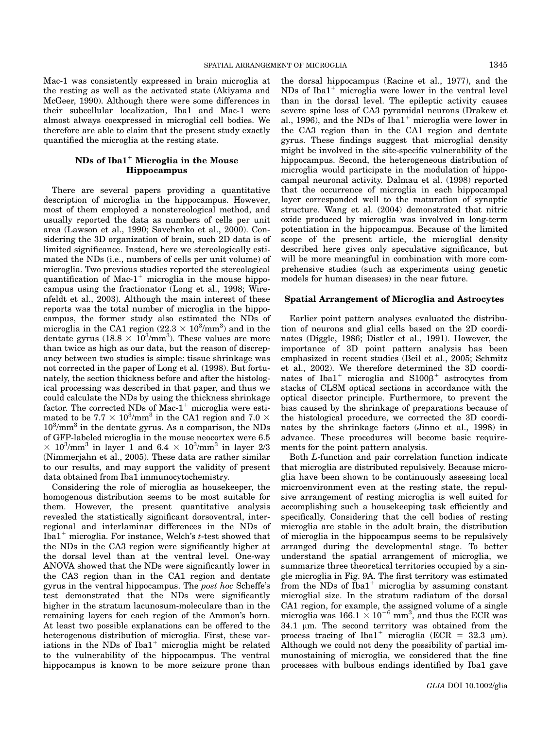Mac-1 was consistently expressed in brain microglia at the resting as well as the activated state (Akiyama and McGeer, 1990). Although there were some differences in their subcellular localization, Iba1 and Mac-1 were almost always coexpressed in microglial cell bodies. We therefore are able to claim that the present study exactly quantified the microglia at the resting state.

# $NDs$  of  $Iba1<sup>+</sup> Microglia$  in the Mouse Hippocampus

There are several papers providing a quantitative description of microglia in the hippocampus. However, most of them employed a nonstereological method, and usually reported the data as numbers of cells per unit area (Lawson et al., 1990; Savchenko et al., 2000). Considering the 3D organization of brain, such 2D data is of limited significance. Instead, here we stereologically estimated the NDs (i.e., numbers of cells per unit volume) of microglia. Two previous studies reported the stereological quantification of Mac-1<sup>+</sup> microglia in the mouse hippocampus using the fractionator (Long et al., 1998; Wirenfeldt et al., 2003). Although the main interest of these reports was the total number of microglia in the hippocampus, the former study also estimated the NDs of microglia in the CA1 region  $(22.3 \times 10^3/\text{mm}^3)$  and in the dentate gyrus  $(18.8 \times 10^3/\text{mm}^3)$ . These values are more dentate gyrus  $(18.8 \times 10^3/\text{mm}^3)$ . These values are more than twice as high as our data but the reason of discrepthan twice as high as our data, but the reason of discrepancy between two studies is simple: tissue shrinkage was not corrected in the paper of Long et al. (1998). But fortunately, the section thickness before and after the histological processing was described in that paper, and thus we could calculate the NDs by using the thickness shrinkage factor. The corrected NDs of Mac- $1^+$  microglia were estimated to be  $7.7 \times 10^3/\text{mm}^3$  in the CA1 region and  $7.0 \times 10^3/\text{mm}^3$  in the dentate gyrus. As a comparison, the NDs 10<sup>3</sup> /mm3 in the dentate gyrus. As a comparison, the NDs of GFP-labeled microglia in the mouse neocortex were 6.5  $\times$  10<sup>3</sup>/mm<sup>3</sup> in layer 1 and 6.4  $\times$  10<sup>3</sup>/mm<sup>3</sup> in layer 2/3<br>(Nimmeriahn et al. 2005) These data are rather similar (Nimmerjahn et al., 2005). These data are rather similar to our results, and may support the validity of present data obtained from Iba1 immunocytochemistry.

Considering the role of microglia as housekeeper, the homogenous distribution seems to be most suitable for them. However, the present quantitative analysis revealed the statistically significant dorsoventral, interregional and interlaminar differences in the NDs of Iba1<sup>+</sup> microglia. For instance, Welch's  $t$ -test showed that the NDs in the CA3 region were significantly higher at the dorsal level than at the ventral level. One-way ANOVA showed that the NDs were significantly lower in the CA3 region than in the CA1 region and dentate gyrus in the ventral hippocampus. The post hoc Scheffe's test demonstrated that the NDs were significantly higher in the stratum lacunosum-moleculare than in the remaining layers for each region of the Ammon's horn. At least two possible explanations can be offered to the heterogenous distribution of microglia. First, these variations in the NDs of  $Iba1<sup>+</sup>$  microglia might be related to the vulnerability of the hippocampus. The ventral hippocampus is known to be more seizure prone than

the dorsal hippocampus (Racine et al., 1977), and the  $NDs$  of  $Iba1<sup>+</sup>$  microglia were lower in the ventral level than in the dorsal level. The epileptic activity causes severe spine loss of CA3 pyramidal neurons (Drakew et al., 1996), and the NDs of Iba1<sup>+</sup> microglia were lower in the CA3 region than in the CA1 region and dentate gyrus. These findings suggest that microglial density might be involved in the site-specific vulnerability of the hippocampus. Second, the heterogeneous distribution of microglia would participate in the modulation of hippocampal neuronal activity. Dalmau et al. (1998) reported that the occurrence of microglia in each hippocampal layer corresponded well to the maturation of synaptic structure. Wang et al. (2004) demonstrated that nitric oxide produced by microglia was involved in long-term potentiation in the hippocampus. Because of the limited scope of the present article, the microglial density described here gives only speculative significance, but will be more meaningful in combination with more comprehensive studies (such as experiments using genetic models for human diseases) in the near future.

## Spatial Arrangement of Microglia and Astrocytes

Earlier point pattern analyses evaluated the distribution of neurons and glial cells based on the 2D coordinates (Diggle, 1986; Distler et al., 1991). However, the importance of 3D point pattern analysis has been emphasized in recent studies (Beil et al., 2005; Schmitz et al., 2002). We therefore determined the 3D coordinates of Iba1<sup>+</sup> microglia and  $S100\beta$ <sup>+</sup> astrocytes from stacks of CLSM optical sections in accordance with the optical disector principle. Furthermore, to prevent the bias caused by the shrinkage of preparations because of the histological procedure, we corrected the 3D coordinates by the shrinkage factors (Jinno et al., 1998) in advance. These procedures will become basic requirements for the point pattern analysis.

Both L-function and pair correlation function indicate that microglia are distributed repulsively. Because microglia have been shown to be continuously assessing local microenvironment even at the resting state, the repulsive arrangement of resting microglia is well suited for accomplishing such a housekeeping task efficiently and specifically. Considering that the cell bodies of resting microglia are stable in the adult brain, the distribution of microglia in the hippocampus seems to be repulsively arranged during the developmental stage. To better understand the spatial arrangement of microglia, we summarize three theoretical territories occupied by a single microglia in Fig. 9A. The first territory was estimated from the NDs of Iba1<sup>+</sup> microglia by assuming constant microglial size. In the stratum radiatum of the dorsal CA1 region, for example, the assigned volume of a single microglia was  $166.1 \times 10^{-6}$  mm<sup>3</sup>, and thus the ECR was<br>34.1 um The second territory was obtained from the  $34.1 \mu m$ . The second territory was obtained from the process tracing of Iba1<sup>+</sup> microglia (ECR = 32.3  $\mu$ m). Although we could not deny the possibility of partial immunostaining of microglia, we considered that the fine processes with bulbous endings identified by Iba1 gave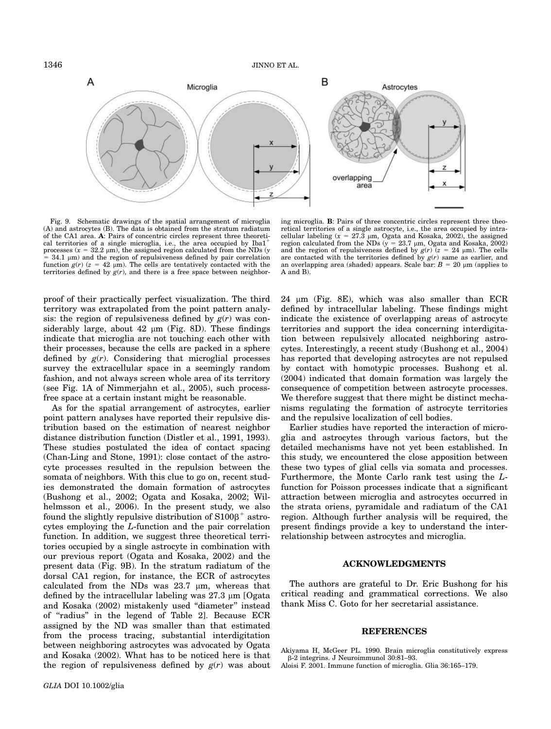

Fig. 9. Schematic drawings of the spatial arrangement of microglia (A) and astrocytes (B). The data is obtained from the stratum radiatum of the CA1 area. A: Pairs of concentric circles represent three theoretical territories of a single microglia, i.e., the area occupied by Iba1<sup>+</sup> processes ( $x = 32.2 \mu m$ ), the assigned region calculated from the NDs ( $y = 34.1 \mu m$ ) and the region of repulsiveness defined by pair correlation = 34.1  $\mu$ m) and the region of repulsiveness defined by pair correlation function  $g(r)$  ( $z = 42 \mu$ m). The cells are tentatively contacted with the function  $g(r)$  ( $z = 42 \mu m$ ). The cells are tentatively contacted with the territories defined by  $g(r)$ , and there is a free space between neighbor-

ing microglia. B: Pairs of three concentric circles represent three theoretical territories of a single astrocyte, i.e., the area occupied by intra-<br>cellular labeling ( $x = 27.3 \mu m$ , Ogata and Kosaka, 2002), the assigned<br>region calculated from the NDs ( $y = 23.7 \mu m$ . Ogata and Kosaka, 2002) region calculated from the NDs ( $y = 23.7 \mu$ m, Ogata and Kosaka, 2002)<br>and the region of repulsiveness defined by  $g(r)$  ( $z = 24 \mu$ m). The cells<br>are contacted with the territories defined by  $g(r)$  same as earlier and are contacted with the territories defined by  $g(r)$  same as earlier, and an overlapping area (shaded) appears. Scale bar:  $B = 20 \mu m$  (applies to A and B).

proof of their practically perfect visualization. The third territory was extrapolated from the point pattern analysis: the region of repulsiveness defined by  $g(r)$  was considerably large, about  $42 \mu m$  (Fig. 8D). These findings indicate that microglia are not touching each other with their processes, because the cells are packed in a sphere defined by  $g(r)$ . Considering that microglial processes survey the extracellular space in a seemingly random fashion, and not always screen whole area of its territory (see Fig. 1A of Nimmerjahn et al., 2005), such processfree space at a certain instant might be reasonable.

As for the spatial arrangement of astrocytes, earlier point pattern analyses have reported their repulsive distribution based on the estimation of nearest neighbor distance distribution function (Distler et al., 1991, 1993). These studies postulated the idea of contact spacing (Chan-Ling and Stone, 1991): close contact of the astrocyte processes resulted in the repulsion between the somata of neighbors. With this clue to go on, recent studies demonstrated the domain formation of astrocytes (Bushong et al., 2002; Ogata and Kosaka, 2002; Wilhelmsson et al., 2006). In the present study, we also found the slightly repulsive distribution of  $S100\beta^+$  astrocytes employing the L-function and the pair correlation function. In addition, we suggest three theoretical territories occupied by a single astrocyte in combination with our previous report (Ogata and Kosaka, 2002) and the present data (Fig. 9B). In the stratum radiatum of the dorsal CA1 region, for instance, the ECR of astrocytes calculated from the NDs was  $23.7 \mu m$ , whereas that defined by the intracellular labeling was  $27.3 \mu m$  [Ogata and Kosaka (2002) mistakenly used ''diameter'' instead of ''radius'' in the legend of Table 2]. Because ECR assigned by the ND was smaller than that estimated from the process tracing, substantial interdigitation between neighboring astrocytes was advocated by Ogata and Kosaka (2002). What has to be noticed here is that the region of repulsiveness defined by  $g(r)$  was about  $24 \mu m$  (Fig. 8E), which was also smaller than ECR defined by intracellular labeling. These findings might indicate the existence of overlapping areas of astrocyte territories and support the idea concerning interdigitation between repulsively allocated neighboring astrocytes. Interestingly, a recent study (Bushong et al., 2004) has reported that developing astrocytes are not repulsed by contact with homotypic processes. Bushong et al. (2004) indicated that domain formation was largely the consequence of competition between astrocyte processes. We therefore suggest that there might be distinct mechanisms regulating the formation of astrocyte territories and the repulsive localization of cell bodies.

Earlier studies have reported the interaction of microglia and astrocytes through various factors, but the detailed mechanisms have not yet been established. In this study, we encountered the close apposition between these two types of glial cells via somata and processes. Furthermore, the Monte Carlo rank test using the Lfunction for Poisson processes indicate that a significant attraction between microglia and astrocytes occurred in the strata oriens, pyramidale and radiatum of the CA1 region. Although further analysis will be required, the present findings provide a key to understand the interrelationship between astrocytes and microglia.

# ACKNOWLEDGMENTS

The authors are grateful to Dr. Eric Bushong for his critical reading and grammatical corrections. We also thank Miss C. Goto for her secretarial assistance.

## REFERENCES

Akiyama H, McGeer PL. 1990. Brain microglia constitutively express b-2 integrins. J Neuroimmunol 30:81–93.

Aloisi F. 2001. Immune function of microglia. Glia 36:165–179.